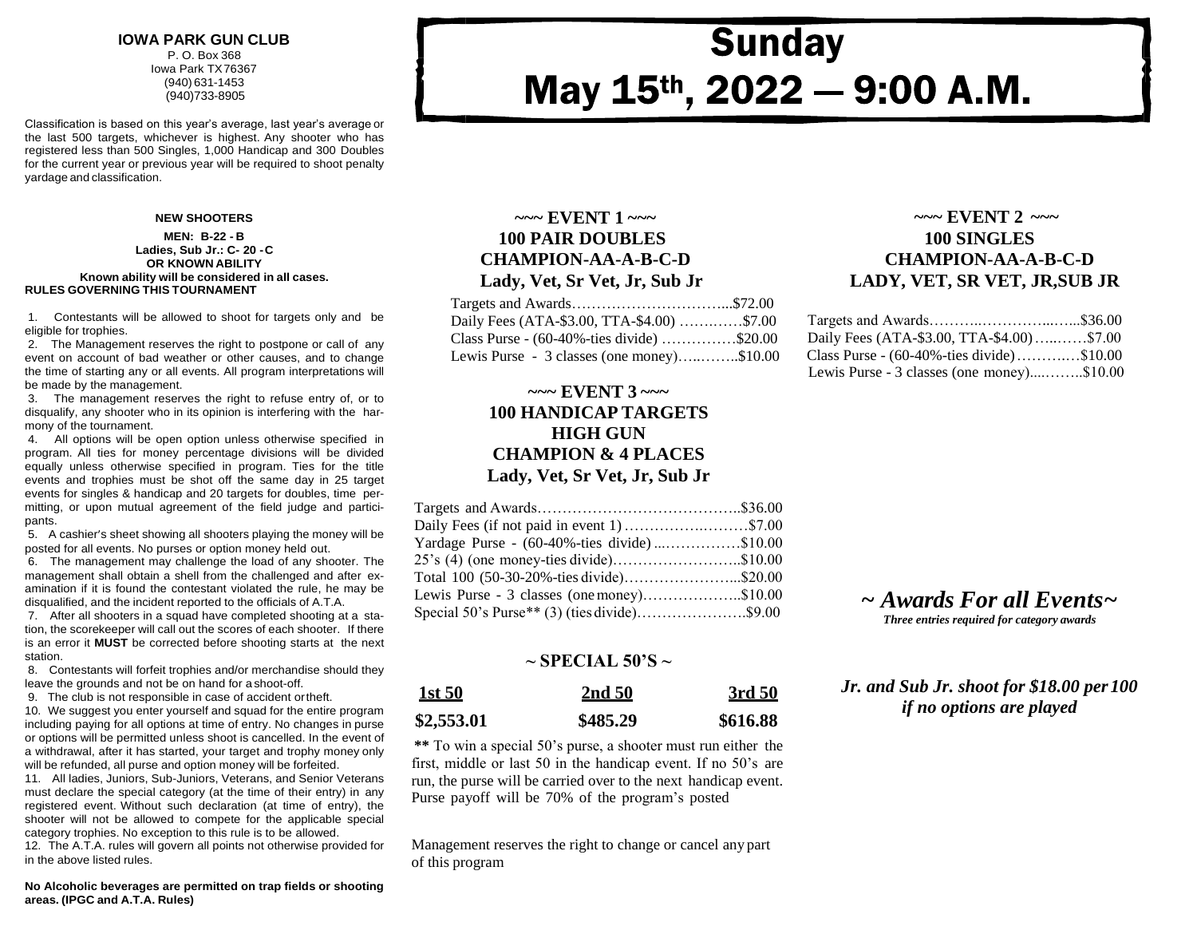#### **IOWA PARK GUN CLUB** P. O. Box 368 Iowa Park TX76367 (940) 631-1453 (940)733-8905

Classification is based on this year's average, last year's average or the last 500 targets, whichever is highest. Any shooter who has registered less than 500 Singles, 1,000 Handicap and 300 Doubles for the current year or previous year will be required to shoot penalty yardage and classification.

#### **NEW SHOOTERS**

#### **MEN: B-22 - B Ladies, Sub Jr.: C- 20 -C OR KNOWN ABILITY Known ability will be considered in all cases. RULES GOVERNING THIS TOURNAMENT**

1. Contestants will be allowed to shoot for targets only and be eligible for trophies.

2. The Management reserves the right to postpone or call of any event on account of bad weather or other causes, and to change the time of starting any or all events. All program interpretations will be made by the management.

3. The management reserves the right to refuse entry of, or to disqualify, any shooter who in its opinion is interfering with the harmony of the tournament.

4. All options will be open option unless otherwise specified in program. All ties for money percentage divisions will be divided equally unless otherwise specified in program. Ties for the title events and trophies must be shot off the same day in 25 target events for singles & handicap and 20 targets for doubles, time permitting, or upon mutual agreement of the field judge and participants.

5. A cashier's sheet showing all shooters playing the money will be posted for all events. No purses or option money held out.

6. The management may challenge the load of any shooter. The management shall obtain a shell from the challenged and after examination if it is found the contestant violated the rule, he may be disqualified, and the incident reported to the officials of A.T.A.

7. After all shooters in a squad have completed shooting at a station, the scorekeeper will call out the scores of each shooter. If there is an error it **MUST** be corrected before shooting starts at the next station.

8. Contestants will forfeit trophies and/or merchandise should they leave the grounds and not be on hand for a shoot-off.

9. The club is not responsible in case of accident ortheft.

10. We suggest you enter yourself and squad for the entire program including paying for all options at time of entry. No changes in purse or options will be permitted unless shoot is cancelled. In the event of a withdrawal, after it has started, your target and trophy money only will be refunded, all purse and option money will be forfeited.

11. All ladies, Juniors, Sub-Juniors, Veterans, and Senior Veterans must declare the special category (at the time of their entry) in any registered event. Without such declaration (at time of entry), the shooter will not be allowed to compete for the applicable special category trophies. No exception to this rule is to be allowed.

12. The A.T.A. rules will govern all points not otherwise provided for in the above listed rules.

**No Alcoholic beverages are permitted on trap fields or shooting areas. (IPGC and A.T.A. Rules)**

#### **~~~ EVENT 1 ~~~ 100 PAIR DOUBLES CHAMPION-AA-A-B-C-D Lady, Vet, Sr Vet, Jr, Sub Jr**

| Daily Fees (ATA-\$3.00, TTA-\$4.00) \$7.00             |  |
|--------------------------------------------------------|--|
| Class Purse - $(60-40\% - \text{ties divide})$ \$20.00 |  |
| Lewis Purse - 3 classes (one money)\$10.00             |  |

### **~~~ EVENT 3 ~~~ 100 HANDICAP TARGETS HIGH GUN CHAMPION & 4 PLACES Lady, Vet, Sr Vet, Jr, Sub Jr**

| Daily Fees (if not paid in event 1) \$7.00     |
|------------------------------------------------|
| Yardage Purse - (60-40%-ties divide)\$10.00    |
| 25's (4) (one money-ties divide)\$10.00        |
| Total 100 (50-30-20%-ties divide)\$20.00       |
| Lewis Purse - $3$ classes (one money)\$10.00   |
| Special 50's Purse** $(3)$ (ties divide)\$9.00 |
|                                                |

#### **~ SPECIAL 50'S ~**

| <u>1st 50</u> | 2nd 50   | 3rd 50   |
|---------------|----------|----------|
| \$2,553.01    | \$485.29 | \$616.88 |

**\*\*** To win a special 50's purse, a shooter must run either the first, middle or last 50 in the handicap event. If no 50's are run, the purse will be carried over to the next handicap event. Purse payoff will be 70% of the program's posted

Management reserves the right to change or cancel any part of this program

## **~~~ EVENT 2 ~~~ 100 SINGLES CHAMPION-AA-A-B-C-D LADY, VET, SR VET, JR,SUB JR**

| Daily Fees (ATA-\$3.00, TTA-\$4.00)\$7.00              |  |
|--------------------------------------------------------|--|
| Class Purse - $(60-40\% - \text{ties divide})$ \$10.00 |  |
| Lewis Purse - 3 classes (one money)\$10.00             |  |

#### *~ Awards For all Events~ Three entries required for category awards*

*Jr. and Sub Jr. shoot for \$18.00 per100 if no options are played*

# **Sunday** May 15<sup>th</sup>, 2022 - 9:00 A.M.